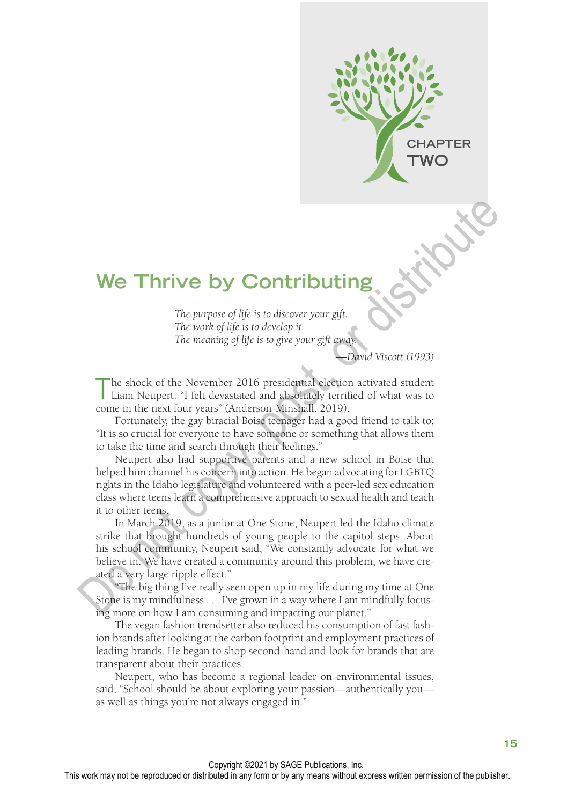# **We Thrive by Contributing**

*The purpose of life is to discover your gift. The work of life is to develop it. The meaning of life is to give your gift away.*

*—David Viscott (1993)*

**CHAPTER**

**TWO**

The shock of the November 2016 presidential election activated student<br>Liam Neupert: "I felt devastated and absolutely terrified of what was to come in the next four years" (Anderson-Minshall, 2019).

Fortunately, the gay biracial Boise teenager had a good friend to talk to; "It is so crucial for everyone to have someone or something that allows them to take the time and search through their feelings."

Neupert also had supportive parents and a new school in Boise that helped him channel his concern into action. He began advocating for LGBTQ rights in the Idaho legislature and volunteered with a peer-led sex education class where teens learn a comprehensive approach to sexual health and teach it to other teens. **Example 18 (1991) Contributing**<br>
The party of  $\theta$  is to discover your gift.<br>
The w[or](https://quoteinvestigator.com/tag/david-viscott/)k of life is to discover your gift.<br>
The meaning of life is to develop it.<br>
The meaning of life is to develop it.<br>
The meaning of lif

In March 2019, as a junior at One Stone, Neupert led the Idaho climate strike that brought hundreds of young people to the capitol steps. About his school community, Neupert said, "We constantly advocate for what we believe in. We have created a community around this problem; we have created a very large ripple effect."

"The big thing I've really seen open up in my life during my time at One Stone is my mindfulness . . . I've grown in a way where I am mindfully focusing more on how I am consuming and impacting our planet."

The vegan fashion trendsetter also reduced his consumption of fast fashion brands after looking at the carbon footprint and employment practices of leading brands. He began to shop second-hand and look for brands that are transparent about their practices.

Neupert, who has become a regional leader on environmental issues, said, "School should be about exploring your passion—authentically you as well as things you're not always engaged in."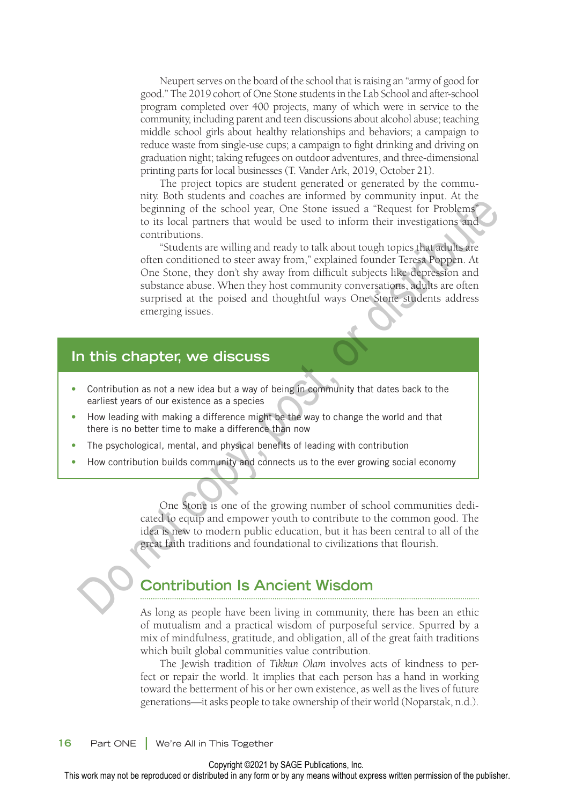Neupert serves on the board of the school that is raising an "army of good for good." The 2019 cohort of One Stone students in the Lab School and after-school program completed over 400 projects, many of which were in service to the community, including parent and teen discussions about alcohol abuse; teaching middle school girls about healthy relationships and behaviors; a campaign to reduce waste from single-use cups; a campaign to fight drinking and driving on graduation night; taking refugees on outdoor adventures, and three-dimensional printing parts for local businesses (T. Vander Ark, 2019, October 21).

The project topics are student generated or generated by the community. Both students and coaches are informed by community input. At the beginning of the school year, One Stone issued a "Request for Problems" to its local partners that would be used to inform their investigations and contributions.

"Students are willing and ready to talk about tough topics that adults are often conditioned to steer away from," explained founder Teresa Poppen. At One Stone, they don't shy away from difficult subjects like depression and substance abuse. When they host community conversations, adults are often surprised at the poised and thoughtful ways One Stone students address emerging issues. the mean and control of the school of the school of the school of the school of the school part (be seed to inform their investigations and<br>contributions.<br>Contributions are willing and ready to all about tugh top-sight and

#### **In this chapter, we discuss**

- Contribution as not a new idea but a way of being in community that dates back to the earliest years of our existence as a species
- How leading with making a difference might be the way to change the world and that there is no better time to make a difference than now
- The psychological, mental, and physical benefits of leading with contribution
- How contribution builds community and connects us to the ever growing social economy

One Stone is one of the growing number of school communities dedicated to equip and empower youth to contribute to the common good. The idea is new to modern public education, but it has been central to all of the great faith traditions and foundational to civilizations that flourish.

# **Contribution Is Ancient Wisdom**

As long as people have been living in community, there has been an ethic of mutualism and a practical wisdom of purposeful service. Spurred by a mix of mindfulness, gratitude, and obligation, all of the great faith traditions which built global communities value contribution.

The Jewish tradition of *Tikkun Olam* involves acts of kindness to perfect or repair the world. It implies that each person has a hand in working toward the betterment of his or her own existence, as well as the lives of future generations—it asks people to take ownership of their world (Noparstak, n.d.).

Copyright ©2021 by SAGE Publications, Inc.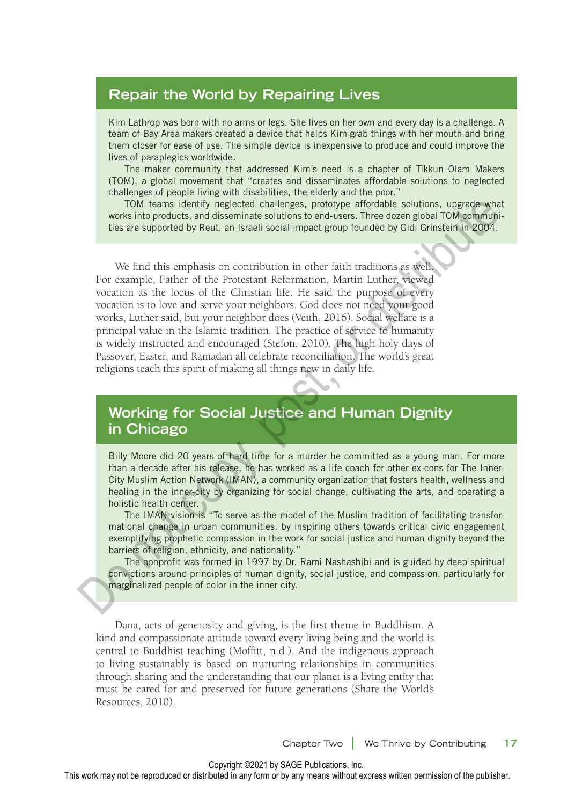#### **Repair the World by Repairing Lives**

Kim Lathrop was born with no arms or legs. She lives on her own and every day is a challenge. A team of Bay Area makers created a device that helps Kim grab things with her mouth and bring them closer for ease of use. The simple device is inexpensive to produce and could improve the lives of paraplegics worldwide.

The maker community that addressed Kim's need is a chapter of Tikkun Olam Makers (TOM), a global movement that "creates and disseminates affordable solutions to neglected challenges of people living with disabilities, the elderly and the poor."

TOM teams identify neglected challenges, prototype affordable solutions, upgrade what works into products, and disseminate solutions to end-users. Three dozen global TOM communities are supported by Reut, an Israeli social impact group founded by Gidi Grinstein in 2004.

We find this emphasis on contribution in other faith traditions as well. For example, Father of the Protestant Reformation, Martin Luther, viewed vocation as the locus of the Christian life. He said the purpose of every vocation is to love and serve your neighbors. God does not need your good works, Luther said, but your neighbor does (Veith, 2016). Social welfare is a principal value in the Islamic tradition. The practice of service to humanity is widely instructed and encouraged (Stefon, 2010). The high holy days of Passover, Easter, and Ramadan all celebrate reconciliation. The world's great religions teach this spirit of making all things new in daily life. TOM teams identify negleeded challenges, prototye affordable solutions, upgrade works into products, and disseminate solutions to end-users. Three dozen global TOM communities are supported by Reut, an Israel social inpact

#### **Working for Social Justice and Human Dignity in Chicago**

Billy Moore did 20 years of hard time for a murder he committed as a young man. For more than a decade after his release, he has worked as a life coach for other ex-cons for The Inner-City Muslim Action Network (IMAN), a community organization that fosters health, wellness and healing in the inner-city by organizing for social change, cultivating the arts, and operating a holistic health center.

The IMAN vision is "To serve as the model of the Muslim tradition of facilitating transformational change in urban communities, by inspiring others towards critical civic engagement exemplifying prophetic compassion in the work for social justice and human dignity beyond the barriers of religion, ethnicity, and nationality."

The nonprofit was formed in 1997 by Dr. Rami Nashashibi and is guided by deep spiritual convictions around principles of human dignity, social justice, and compassion, particularly for marginalized people of color in the inner city.

Dana, acts of generosity and giving, is the first theme in Buddhism. A kind and compassionate attitude toward every living being and the world is central to Buddhist teaching (Moffitt, n.d.). And the indigenous approach to living sustainably is based on nurturing relationships in communities through sharing and the understanding that our planet is a living entity that must be cared for and preserved for future generations (Share the World's Resources, 2010).

Chapter Two **|** We Thrive by Contributing **17**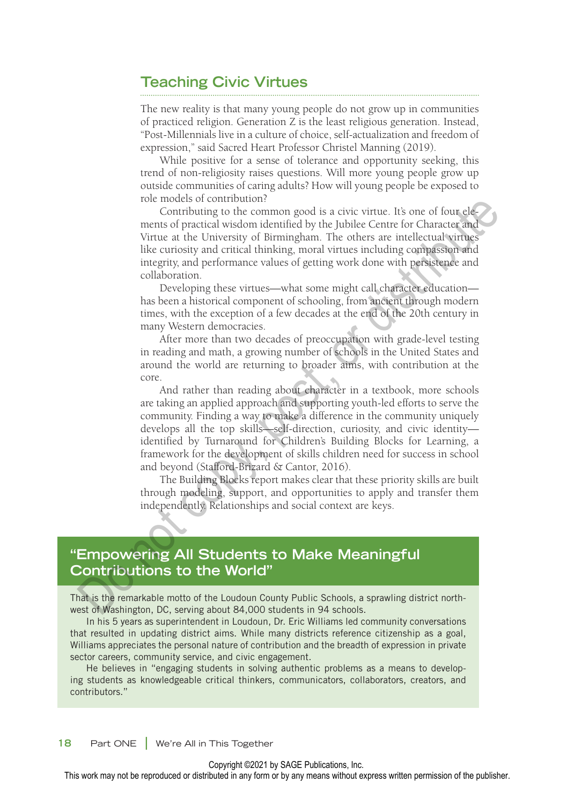## **Teaching Civic Virtues**

The new reality is that many young people do not grow up in communities of practiced religion. Generation Z is the least religious generation. Instead, "Post-Millennials live in a culture of choice, self-actualization and freedom of expression," said Sacred Heart Professor Christel Manning (2019).

While positive for a sense of tolerance and opportunity seeking, this trend of non-religiosity raises questions. Will more young people grow up outside communities of caring adults? How will young people be exposed to role models of contribution?

Contributing to the common good is a civic virtue. It's one of four elements of practical wisdom identified by the Jubilee Centre for Character and Virtue at the University of Birmingham. The others are intellectual virtues like curiosity and critical thinking, moral virtues including compassion and integrity, and performance values of getting work done with persistence and collaboration.

Developing these virtues—what some might call character education has been a historical component of schooling, from ancient through modern times, with the exception of a few decades at the end of the 20th century in many Western democracies.

After more than two decades of preoccupation with grade-level testing in reading and math, a growing number of schools in the United States and around the world are returning to broader aims, with contribution at the core.

And rather than reading about character in a textbook, more schools are taking an applied approach and supporting youth-led efforts to serve the community. Finding a way to make a difference in the community uniquely develops all the top skills—self-direction, curiosity, and civic identity identified by Turnaround for Children's Building Blocks for Learning, a framework for the development of skills children need for success in school and beyond (Stafford-Brizard & Cantor, 2016). from the most of controllation in the controllation of controllation in Controllation in Controllation in Cyncicle and Wirely the University of Birmingham. The others are intellectual varings Virtue at the University of Bi

The Building Blocks report makes clear that these priority skills are built through modeling, support, and opportunities to apply and transfer them independently. Relationships and social context are keys.

## **"Empowering All Students to Make Meaningful Contributions to the World"**

That is the remarkable motto of the Loudoun County Public Schools, a sprawling district northwest of Washington, DC, serving about 84,000 students in 94 schools.

In his 5 years as superintendent in Loudoun, Dr. Eric Williams led community conversations that resulted in updating district aims. While many districts reference citizenship as a goal, Williams appreciates the personal nature of contribution and the breadth of expression in private sector careers, community service, and civic engagement.

He believes in "engaging students in solving authentic problems as a means to developing students as knowledgeable critical thinkers, communicators, collaborators, creators, and contributors."

**18** Part ONE **|** We're All in This Together

Copyright ©2021 by SAGE Publications, Inc.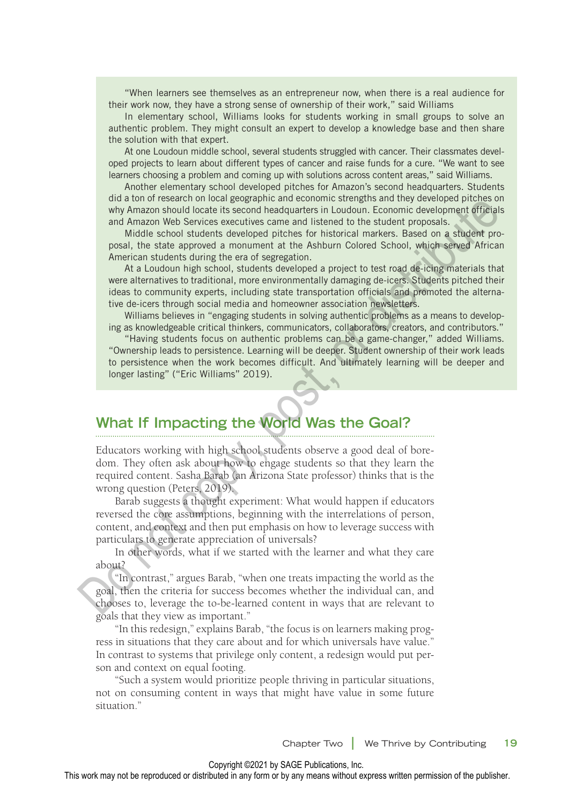"When learners see themselves as an entrepreneur now, when there is a real audience for their work now, they have a strong sense of ownership of their work," said Williams

In elementary school, Williams looks for students working in small groups to solve an authentic problem. They might consult an expert to develop a knowledge base and then share the solution with that expert.

At one Loudoun middle school, several students struggled with cancer. Their classmates developed projects to learn about different types of cancer and raise funds for a cure. "We want to see learners choosing a problem and coming up with solutions across content areas," said Williams.

Another elementary school developed pitches for Amazon's second headquarters. Students did a ton of research on local geographic and economic strengths and they developed pitches on why Amazon should locate its second headquarters in Loudoun. Economic development officials and Amazon Web Services executives came and listened to the student proposals.

Middle school students developed pitches for historical markers. Based on a student proposal, the state approved a monument at the Ashburn Colored School, which served African American students during the era of segregation.

At a Loudoun high school, students developed a project to test road de-icing materials that were alternatives to traditional, more environmentally damaging de-icers. Students pitched their ideas to community experts, including state transportation officials and promoted the alternative de-icers through social media and homeowner association newsletters.

Williams believes in "engaging students in solving authentic problems as a means to developing as knowledgeable critical thinkers, communicators, collaborators, creators, and contributors."

"Having students focus on authentic problems can be a game-changer," added Williams. "Ownership leads to persistence. Learning will be deeper. Student ownership of their work leads to persistence when the work becomes difficult. And ultimately learning will be deeper and longer lasting" ("Eric Williams" 2019).

# **What If Impacting the World Was the Goal?**

Educators working with high school students observe a good deal of boredom. They often ask about how to engage students so that they learn the required content. Sasha Barab (an Arizona State professor) thinks that is the wrong question (Peters, 2019). and a convince besetter with the section of the section of the section of the section of the section of the section of Model school students show why Amazon should locate its second headquarters in Loudoun. Economic develo

Barab suggests a thought experiment: What would happen if educators reversed the core assumptions, beginning with the interrelations of person, content, and context and then put emphasis on how to leverage success with particulars to generate appreciation of universals?

In other words, what if we started with the learner and what they care about?

"In contrast," argues Barab, "when one treats impacting the world as the goal, then the criteria for success becomes whether the individual can, and chooses to, leverage the to-be-learned content in ways that are relevant to goals that they view as important."

"In this redesign," explains Barab, "the focus is on learners making progress in situations that they care about and for which universals have value." In contrast to systems that privilege only content, a redesign would put person and context on equal footing.

"Such a system would prioritize people thriving in particular situations, not on consuming content in ways that might have value in some future situation."

Chapter Two **|** We Thrive by Contributing **19**

Copyright ©2021 by SAGE Publications, Inc.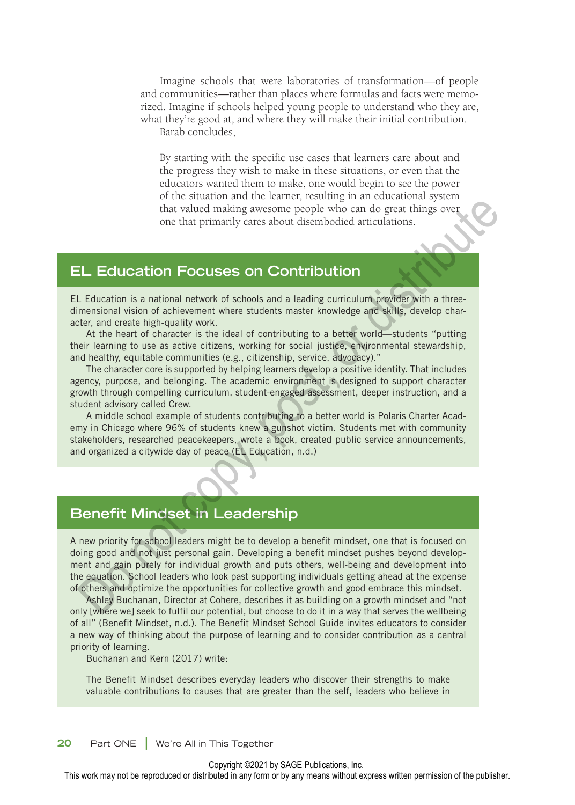Imagine schools that were laboratories of transformation—of people and communities—rather than places where formulas and facts were memorized. Imagine if schools helped young people to understand who they are, what they're good at, and where they will make their initial contribution. Barab concludes,

By starting with the specific use cases that learners care about and the progress they wish to make in these situations, or even that the educators wanted them to make, one would begin to see the power of the situation and the learner, resulting in an educational system that valued making awesome people who can do great things over one that primarily cares about disembodied articulations.

#### **EL Education Focuses on Contribution**

EL Education is a national network of schools and a leading curriculum provider with a threedimensional vision of achievement where students master knowledge and skills, develop character, and create high-quality work.

At the heart of character is the ideal of contributing to a better world—students "putting their learning to use as active citizens, working for social justice, environmental stewardship, and healthy, equitable communities (e.g., citizenship, service, advocacy)."

The character core is supported by helping learners develop a positive identity. That includes agency, purpose, and belonging. The academic environment is designed to support character growth through compelling curriculum, student-engaged assessment, deeper instruction, and a student advisory called Crew.

A middle school example of students contributing to a better world is Polaris Charter Academy in Chicago where 96% of students knew a gunshot victim. Students met with community stakeholders, researched peacekeepers, wrote a book, created public service announcements, and organized a citywide day of peace (EL Education, n.d.)

#### **Benefit Mindset in Leadership**

A new priority for school leaders might be to develop a benefit mindset, one that is focused on doing good and not just personal gain. Developing a benefit mindset pushes beyond development and gain purely for individual growth and puts others, well-being and development into the equation. School leaders who look past supporting individuals getting ahead at the expense of others and optimize the opportunities for collective growth and good embrace this mindset. The thermal matrix and matrix and the state of the state of the state of the state of the state of the state of the state of the state of the state in the state of the state of the state of the state is a national retwork

Ashley Buchanan, Director at Cohere, describes it as building on a growth mindset and "not only [where we] seek to fulfil our potential, but choose to do it in a way that serves the wellbeing of all" (Benefit Mindset, n.d.). The Benefit Mindset School Guide invites educators to consider a new way of thinking about the purpose of learning and to consider contribution as a central priority of learning.

Buchanan and Kern (2017) write:

The Benefit Mindset describes everyday leaders who discover their strengths to make valuable contributions to causes that are greater than the self, leaders who believe in

Copyright ©2021 by SAGE Publications, Inc.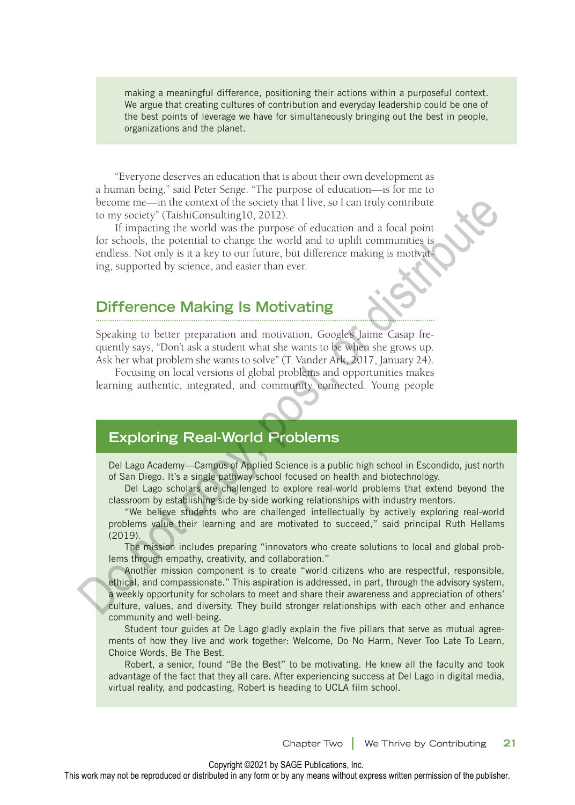making a meaningful difference, positioning their actions within a purposeful context. We argue that creating cultures of contribution and everyday leadership could be one of the best points of leverage we have for simultaneously bringing out the best in people, organizations and the planet.

"Everyone deserves an education that is about their own development as a human being," said Peter Senge. "The purpose of education—is for me to become me—in the context of the society that I live, so I can truly contribute to my society" (TaishiConsulting10, 2012).

If impacting the world was the purpose of education and a focal point for schools, the potential to change the world and to uplift communities is endless. Not only is it a key to our future, but difference making is motivating, supported by science, and easier than ever.

## **Difference Making Is Motivating**

Speaking to better preparation and motivation, Google's Jaime Casap frequently says, "Don't ask a student what she wants to be when she grows up. Ask her what problem she wants to solve" (T. Vander Ark, 2017, January 24).

Focusing on local versions of global problems and opportunities makes learning authentic, integrated, and community connected. Young people

#### **Exploring Real-World Problems**

Del Lago Academy—Campus of Applied Science is a public high school in Escondido, just north of San Diego. It's a single pathway school focused on health and biotechnology.

Del Lago scholars are challenged to explore real-world problems that extend beyond the classroom by establishing side-by-side working relationships with industry mentors.

"We believe students who are challenged intellectually by actively exploring real-world problems value their learning and are motivated to succeed," said principal Ruth Hellams (2019).

The mission includes preparing "innovators who create solutions to local and global problems through empathy, creativity, and collaboration."

Another mission component is to create "world citizens who are respectful, responsible, ethical, and compassionate." This aspiration is addressed, in part, through the advisory system, a weekly opportunity for scholars to meet and share their awareness and appreciation of others' culture, values, and diversity. They build stronger relationships with each other and enhance community and well-being. become me—in the context of the society that I live, so I can truly contribute<br>to my society" (TashitConsulting 10, 2012).<br>If impacting the world was the purpose of education and a focal point<br>for schools, the potential to

Student tour guides at De Lago gladly explain the five pillars that serve as mutual agreements of how they live and work together: Welcome, Do No Harm, Never Too Late To Learn, Choice Words, Be The Best.

Robert, a senior, found "Be the Best" to be motivating. He knew all the faculty and took advantage of the fact that they all care. After experiencing success at Del Lago in digital media, virtual reality, and podcasting, Robert is heading to UCLA film school.

Chapter Two **|** We Thrive by Contributing **21**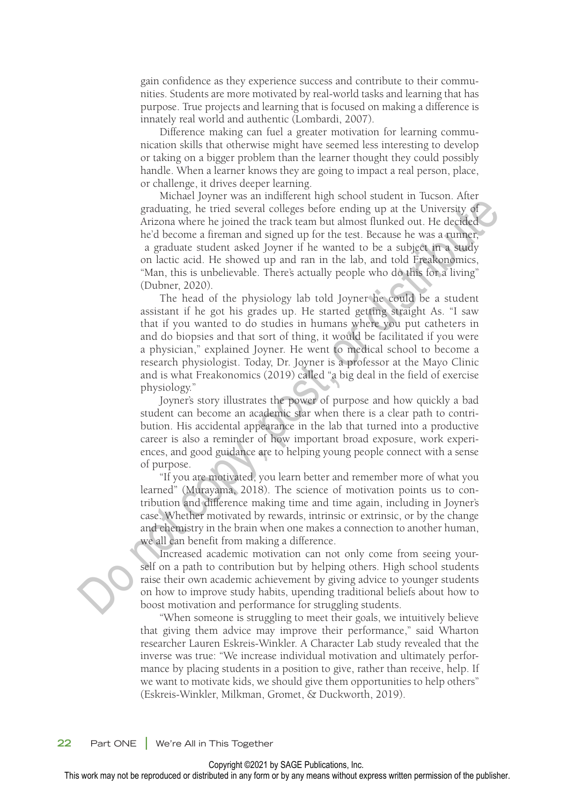gain confidence as they experience success and contribute to their communities. Students are more motivated by real-world tasks and learning that has purpose. True projects and learning that is focused on making a difference is innately real world and authentic (Lombardi, 2007).

Difference making can fuel a greater motivation for learning communication skills that otherwise might have seemed less interesting to develop or taking on a bigger problem than the learner thought they could possibly handle. When a learner knows they are going to impact a real person, place, or challenge, it drives deeper learning.

Michael Joyner was an indifferent high school student in Tucson. After graduating, he tried several colleges before ending up at the University of Arizona where he joined the track team but almost flunked out. He decided he'd become a fireman and signed up for the test. Because he was a runner, a graduate student asked Joyner if he wanted to be a subject in a study on lactic acid. He showed up and ran in the lab, and told Freakonomics, "Man, this is unbelievable. There's actually people who do this for a living" (Dubner, 2020).

The head of the physiology lab told Joyner he could be a student assistant if he got his grades up. He started getting straight As. "I saw that if you wanted to do studies in humans where you put catheters in and do biopsies and that sort of thing, it would be facilitated if you were a physician," explained Joyner. He went to medical school to become a research physiologist. Today, Dr. Joyner is a professor at the Mayo Clinic and is what Freakonomics (2019) called "a big deal in the field of exercise physiology." metric with the point was mathematic and the contract of the contract of the contract of the contract control by the state team but almost fluid both the decirate signal and the rest. Because he was a number, a graduate su

Joyner's story illustrates the power of purpose and how quickly a bad student can become an academic star when there is a clear path to contribution. His accidental appearance in the lab that turned into a productive career is also a reminder of how important broad exposure, work experiences, and good guidance are to helping young people connect with a sense of purpose.

"If you are motivated, you learn better and remember more of what you learned" (Murayama, 2018). The science of motivation points us to contribution and difference making time and time again, including in Joyner's case. Whether motivated by rewards, intrinsic or extrinsic, or by the change and chemistry in the brain when one makes a connection to another human, we all can benefit from making a difference.

Increased academic motivation can not only come from seeing yourself on a path to contribution but by helping others. High school students raise their own academic achievement by giving advice to younger students on how to improve study habits, upending traditional beliefs about how to boost motivation and performance for struggling students.

"When someone is struggling to meet their goals, we intuitively believe that giving them advice may improve their performance," said Wharton researcher Lauren Eskreis-Winkler. A Character Lab study revealed that the inverse was true: "We increase individual motivation and ultimately performance by placing students in a position to give, rather than receive, help. If we want to motivate kids, we should give them opportunities to help others" (Eskreis-Winkler, Milkman, Gromet, & Duckworth, 2019).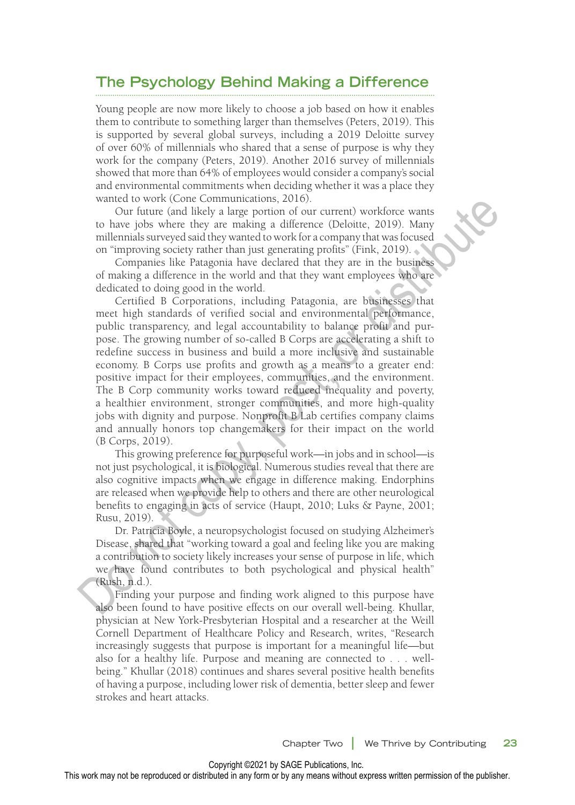# **The Psychology Behind Making a Difference**

Young people are now more likely to choose a job based on how it enables them to contribute to something larger than themselves (Peters, 2019). This is supported by several global surveys, including a 2019 Deloitte survey of over 60% of millennials who shared that a sense of purpose is why they work for the company (Peters, 2019). Another 2016 survey of millennials showed that more than 64% of employees would consider a company's social and environmental commitments when deciding whether it was a place they wanted to work (Cone Communications, 2016).

Our future (and likely a large portion of our current) workforce wants to have jobs where they are making a difference (Deloitte, 2019). Many millennials surveyed said they wanted to work for a company that was focused on "improving society rather than just generating profits" (Fink, 2019).

Companies like Patagonia have declared that they are in the business of making a difference in the world and that they want employees who are dedicated to doing good in the world.

Certified B Corporations, including Patagonia, are businesses that meet high standards of verified social and environmental performance, public transparency, and legal accountability to balance profit and purpose. The growing number of so-called B Corps are accelerating a shift to redefine success in business and build a more inclusive and sustainable economy. B Corps use profits and growth as a means to a greater end: positive impact for their employees, communities, and the environment. The B Corp community works toward reduced inequality and poverty, a healthier environment, stronger communities, and more high-quality jobs with dignity and purpose. Nonprofit B Lab certifies company claims and annually honors top changemakers for their impact on the world (B Corps, 2019). want to work (Cone Community, 2016). More than the particle of work to work the the particle and the particle and the particle. 2019). May a difference (Deloite, 2019) community is seen to the particle and the by a method

This growing preference for purposeful work—in jobs and in school—is not just psychological, it is biological. Numerous studies reveal that there are also cognitive impacts when we engage in difference making. Endorphins are released when we provide help to others and there are other neurological benefits to engaging in acts of service (Haupt, 2010; Luks & Payne, 2001; Rusu, 2019).

Dr. Patricia Boyle, a neuropsychologist focused on studying Alzheimer's Disease, shared that "working toward a goal and feeling like you are making a contribution to society likely increases your sense of purpose in life, which we have found contributes to both psychological and physical health" (Rush, n.d.).

Finding your purpose and finding work aligned to this purpose have also been found to have positive effects on our overall well-being. Khullar, physician at New York-Presbyterian Hospital and a researcher at the Weill Cornell Department of Healthcare Policy and Research, writes, "Research increasingly suggests that purpose is important for a meaningful life—but also for a healthy life. Purpose and meaning are connected to . . . wellbeing." Khullar (2018) continues and shares several positive health benefits of having a purpose, including lower risk of dementia, better sleep and fewer strokes and heart attacks.

Chapter Two **|** We Thrive by Contributing **23**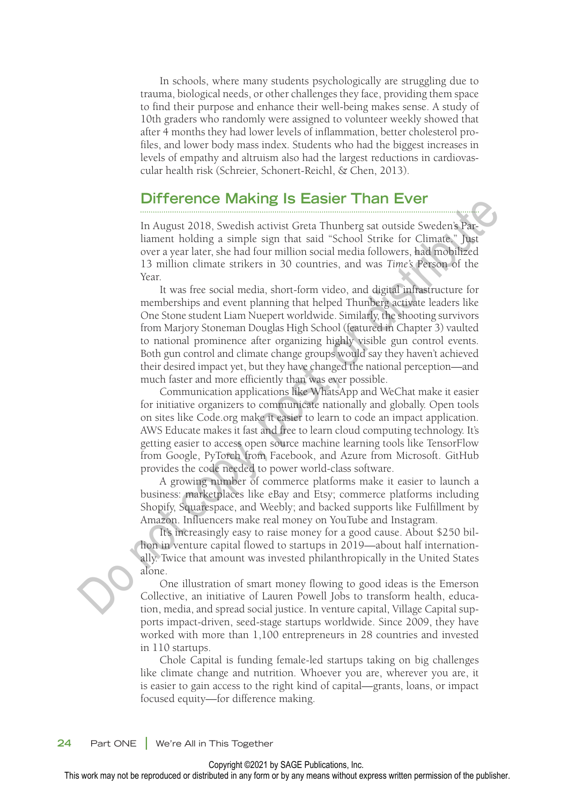In schools, where many students psychologically are struggling due to trauma, biological needs, or other challenges they face, providing them space to find their purpose and enhance their well-being makes sense. A study of 10th graders who randomly were assigned to volunteer weekly showed that after 4 months they had lower levels of inflammation, better cholesterol profiles, and lower body mass index. Students who had the biggest increases in levels of empathy and altruism also had the largest reductions in cardiovascular health risk (Schreier, Schonert-Reichl, & Chen, 2013).

#### **Difference Making Is Easier Than Ever**

In August 2018, Swedish activist Greta Thunberg sat outside Sweden's Parliament holding a simple sign that said "School Strike for Climate." Just over a year later, she had four million social media followers, had mobilized 13 million climate strikers in 30 countries, and was *Time's* Person of the Year.

It was free social media, short-form video, and digital infrastructure for memberships and event planning that helped Thunberg activate leaders like One Stone student Liam Nuepert worldwide. Similarly, the shooting survivors from Marjory Stoneman Douglas High School (featured in Chapter 3) vaulted to national prominence after organizing highly visible gun control events. Both gun control and climate change groups would say they haven't achieved their desired impact yet, but they have changed the national perception—and much faster and more efficiently than was ever possible. **Example 18 SE EXAMPER IS EXAMPER CONTRANT CONSTRANT CONTRANT UNITS CONSULTS (THE AND A magnetized from the later of The later at Constrained State and the later of the later of the later of the later of the later of the l** 

Communication applications like WhatsApp and WeChat make it easier for initiative organizers to communicate nationally and globally. Open tools on sites like Code.org make it easier to learn to code an impact application. AWS Educate makes it fast and free to learn cloud computing technology. It's getting easier to access open source machine learning tools like TensorFlow from Google, PyTorch from Facebook, and Azure from Microsoft. GitHub provides the code needed to power world-class software.

A growing number of commerce platforms make it easier to launch a business: marketplaces like eBay and Etsy; commerce platforms including Shopify, Squarespace, and Weebly; and backed supports like Fulfillment by Amazon. Influencers make real money on YouTube and Instagram.

It's increasingly easy to raise money for a good cause. About \$250 billion in venture capital flowed to startups in 2019—about half internationally. Twice that amount was invested philanthropically in the United States alone.

One illustration of smart money flowing to good ideas is the Emerson Collective, an initiative of Lauren Powell Jobs to transform health, education, media, and spread social justice. In venture capital, Village Capital supports impact-driven, seed-stage startups worldwide. Since 2009, they have worked with more than 1,100 entrepreneurs in 28 countries and invested in 110 startups.

Chole Capital is funding female-led startups taking on big challenges like climate change and nutrition. Whoever you are, wherever you are, it is easier to gain access to the right kind of capital—grants, loans, or impact focused equity—for difference making.

Copyright ©2021 by SAGE Publications, Inc.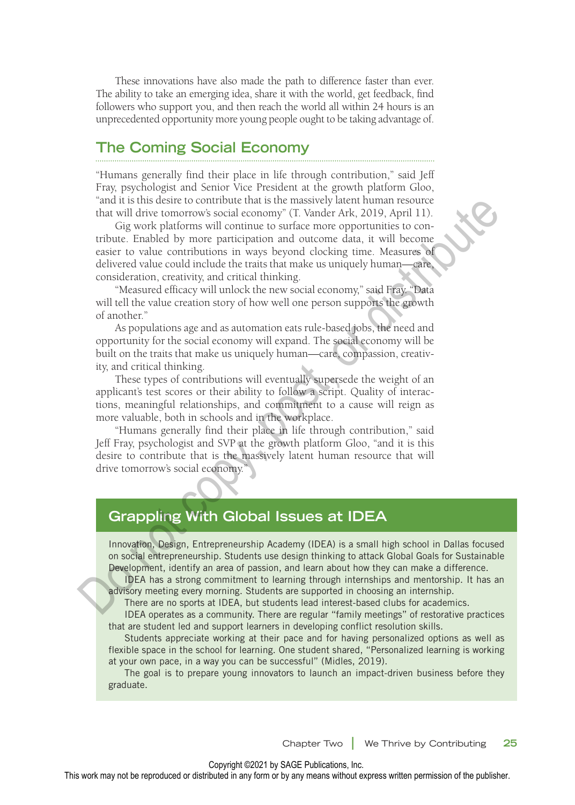These innovations have also made the path to difference faster than ever. The ability to take an emerging idea, share it with the world, get feedback, find followers who support you, and then reach the world all within 24 hours is an unprecedented opportunity more young people ought to be taking advantage of.

# **The Coming Social Economy**

"Humans generally find their place in life through contribution," said Jeff Fray, psychologist and Senior Vice President at the growth platform Gloo, "and it is this desire to contribute that is the massively latent human resource that will drive tomorrow's social economy" (T. Vander Ark, 2019, April 11).

Gig work platforms will continue to surface more opportunities to contribute. Enabled by more participation and outcome data, it will become easier to value contributions in ways beyond clocking time. Measures of delivered value could include the traits that make us uniquely human—care, consideration, creativity, and critical thinking. and it sinks desire to contribute that is the massively latern thram resources<br>one power between the same and the state of the state of the state of the state of the state of the state of the state of the state of the cont

"Measured efficacy will unlock the new social economy," said Fray. "Data will tell the value creation story of how well one person supports the growth of another."

As populations age and as automation eats rule-based jobs, the need and opportunity for the social economy will expand. The social economy will be built on the traits that make us uniquely human—care, compassion, creativity, and critical thinking.

These types of contributions will eventually supersede the weight of an applicant's test scores or their ability to follow a script. Quality of interactions, meaningful relationships, and commitment to a cause will reign as more valuable, both in schools and in the workplace.

"Humans generally find their place in life through contribution," said Jeff Fray, psychologist and SVP at the growth platform Gloo, "and it is this desire to contribute that is the massively latent human resource that will drive tomorrow's social economy."

#### **Grappling With Global Issues at IDEA**

Innovation, Design, Entrepreneurship Academy (IDEA) is a small high school in Dallas focused on social entrepreneurship. Students use design thinking to attack Global Goals for Sustainable Development, identify an area of passion, and learn about how they can make a difference.

IDEA has a strong commitment to learning through internships and mentorship. It has an advisory meeting every morning. Students are supported in choosing an internship.

There are no sports at IDEA, but students lead interest-based clubs for academics.

IDEA operates as a community. There are regular "family meetings" of restorative practices that are student led and support learners in developing conflict resolution skills.

Students appreciate working at their pace and for having personalized options as well as flexible space in the school for learning. One student shared, "Personalized learning is working at your own pace, in a way you can be successful" (Midles, 2019).

The goal is to prepare young innovators to launch an impact-driven business before they graduate.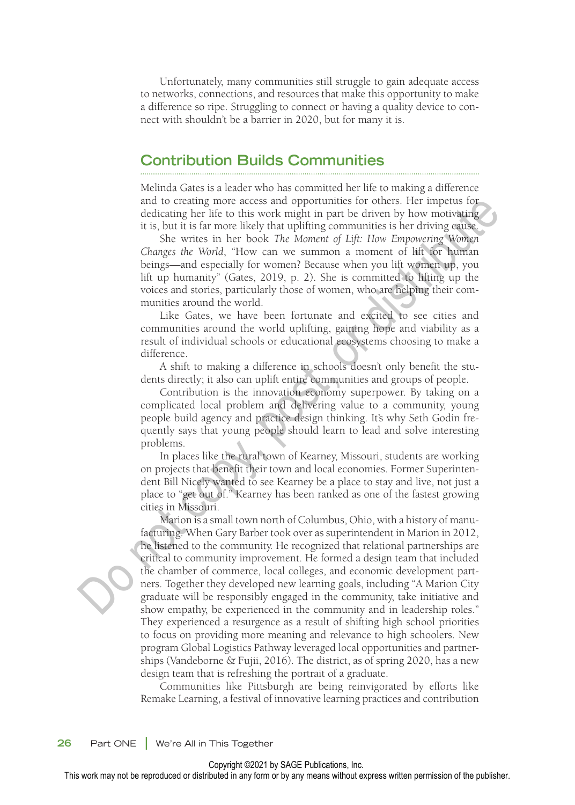Unfortunately, many communities still struggle to gain adequate access to networks, connections, and resources that make this opportunity to make a difference so ripe. Struggling to connect or having a quality device to connect with shouldn't be a barrier in 2020, but for many it is.

#### **Contribution Builds Communities**

Melinda Gates is a leader who has committed her life to making a difference and to creating more access and opportunities for others. Her impetus for dedicating her life to this work might in part be driven by how motivating it is, but it is far more likely that uplifting communities is her driving cause.

She writes in her book *The Moment of Lift: How Empowering Women Changes the World*, "How can we summon a moment of lift for human beings—and especially for women? Because when you lift women up, you lift up humanity" (Gates, 2019, p. 2). She is committed to lifting up the voices and stories, particularly those of women, who are helping their communities around the world.

Like Gates, we have been fortunate and excited to see cities and communities around the world uplifting, gaining hope and viability as a result of individual schools or educational ecosystems choosing to make a difference.

A shift to making a difference in schools doesn't only benefit the students directly; it also can uplift entire communities and groups of people.

Contribution is the innovation economy superpower. By taking on a complicated local problem and delivering value to a community, young people build agency and practice design thinking. It's why Seth Godin frequently says that young people should learn to lead and solve interesting problems.

In places like the rural town of Kearney, Missouri, students are working on projects that benefit their town and local economies. Former Superintendent Bill Nicely wanted to see Kearney be a place to stay and live, not just a place to "get out of." Kearney has been ranked as one of the fastest growing cities in Missouri.

Marion is a small town north of Columbus, Ohio, with a history of manufacturing. When Gary Barber took over as superintendent in Marion in 2012, he listened to the community. He recognized that relational partnerships are critical to community improvement. He formed a design team that included the chamber of commerce, local colleges, and economic development partners. Together they developed new learning goals, including "A Marion City graduate will be responsibly engaged in the community, take initiative and show empathy, be experienced in the community and in leadership roles." They experienced a resurgence as a result of shifting high school priorities to focus on providing more meaning and relevance to high schoolers. New program Global Logistics Pathway leveraged local opportunities and partnerships (Vandeborne & Fujii, 2016). The district, as of spring 2020, has a new design team that is refreshing the portrait of a graduate. and to creating more access and opportunities for others. Her impetius for the by the shout it is four that the by the thy the strate is the twist in the show restriction. Show write is the twist is the twist is the twist

> Communities like Pittsburgh are being reinvigorated by efforts like Remake Learning, a festival of innovative learning practices and contribution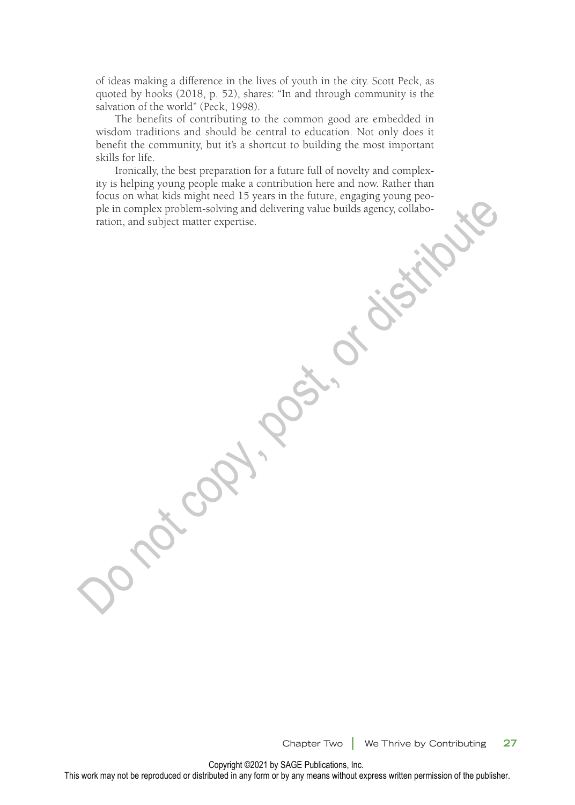of ideas making a difference in the lives of youth in the city. Scott Peck, as quoted by hooks (2018, p. 52), shares: "In and through community is the salvation of the world" (Peck, 1998).

The benefits of contributing to the common good are embedded in wisdom traditions and should be central to education. Not only does it benefit the community, but it's a shortcut to building the most important skills for life.

Ironically, the best preparation for a future full of novelty and complexity is helping young people make a contribution here and now. Rather than focus on what kids might need 15 years in the future, engaging young people in complex problem-solving and delivering value builds agency, collaboration, and subject matter expertise.

, post, con

Chapter Two **|** We Thrive by Contributing **27**

Copyright ©2021 by SAGE Publications, Inc.